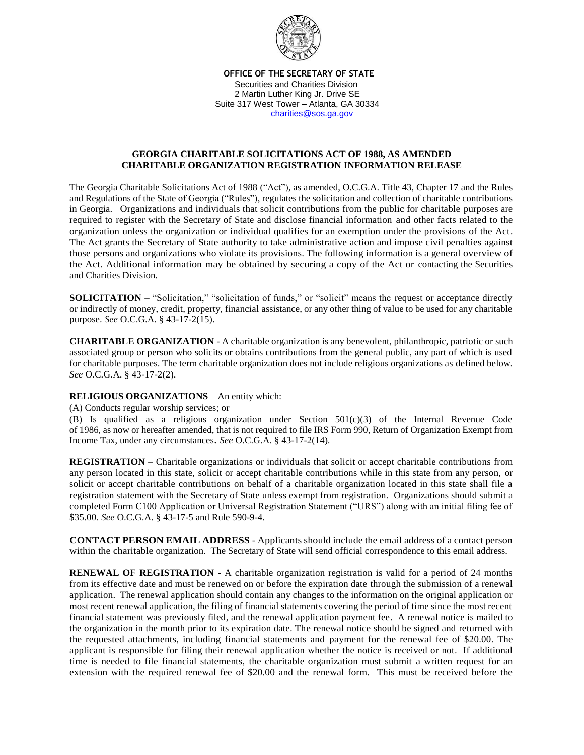

 **OFFICE OF THE SECRETARY OF STATE** 

 Securities and Charities Division 2 Martin Luther King Jr. Drive SE Suite 317 West Tower – Atlanta, GA 30334 [charities@sos.ga.gov](mailto:charities@sos.ga.gov)

## **GEORGIA CHARITABLE SOLICITATIONS ACT OF 1988, AS AMENDED CHARITABLE ORGANIZATION REGISTRATION INFORMATION RELEASE**

The Georgia Charitable Solicitations Act of 1988 ("Act"), as amended, O.C.G.A. Title 43, Chapter 17 and the Rules and Regulations of the State of Georgia ("Rules"), regulates the solicitation and collection of charitable contributions in Georgia. Organizations and individuals that solicit contributions from the public for charitable purposes are required to register with the Secretary of State and disclose financial information and other facts related to the organization unless the organization or individual qualifies for an exemption under the provisions of the Act. The Act grants the Secretary of State authority to take administrative action and impose civil penalties against those persons and organizations who violate its provisions. The following information is a general overview of the Act. Additional information may be obtained by securing a copy of the Act or contacting the Securities and Charities Division.

**SOLICITATION** – "Solicitation," "solicitation of funds," or "solicit" means the request or acceptance directly or indirectly of money, credit, property, financial assistance, or any other thing of value to be used for any charitable purpose. *See* O.C.G.A. § 43-17-2(15).

**CHARITABLE ORGANIZATION** - A charitable organization is any benevolent, philanthropic, patriotic or such associated group or person who solicits or obtains contributions from the general public, any part of which is used for charitable purposes. The term charitable organization does not include religious organizations as defined below. *See* O.C.G.A. § 43-17-2(2).

## **RELIGIOUS ORGANIZATIONS** – An entity which:

(A) Conducts regular worship services; or

(B) Is qualified as a religious organization under Section 501(c)(3) of the Internal Revenue Code of 1986, as now or hereafter amended, that is not required to file IRS Form 990, Return of Organization Exempt from Income Tax, under any circumstances. *See* O.C.G.A. § 43-17-2(14).

**REGISTRATION** – Charitable organizations or individuals that solicit or accept charitable contributions from any person located in this state, solicit or accept charitable contributions while in this state from any person, or solicit or accept charitable contributions on behalf of a charitable organization located in this state shall file a registration statement with the Secretary of State unless exempt from registration. Organizations should submit a completed Form C100 Application or Universal Registration Statement ("URS") along with an initial filing fee of \$35.00. *See* O.C.G.A. § 43-17-5 and Rule 590-9-4.

**CONTACT PERSON EMAIL ADDRESS** - Applicants should include the email address of a contact person within the charitable organization. The Secretary of State will send official correspondence to this email address.

**RENEWAL OF REGISTRATION** - A charitable organization registration is valid for a period of 24 months from its effective date and must be renewed on or before the expiration date through the submission of a renewal application. The renewal application should contain any changes to the information on the original application or most recent renewal application, the filing of financial statements covering the period of time since the most recent financial statement was previously filed, and the renewal application payment fee. A renewal notice is mailed to the organization in the month prior to its expiration date. The renewal notice should be signed and returned with the requested attachments, including financial statements and payment for the renewal fee of \$20.00. The applicant is responsible for filing their renewal application whether the notice is received or not. If additional time is needed to file financial statements, the charitable organization must submit a written request for an extension with the required renewal fee of \$20.00 and the renewal form. This must be received before the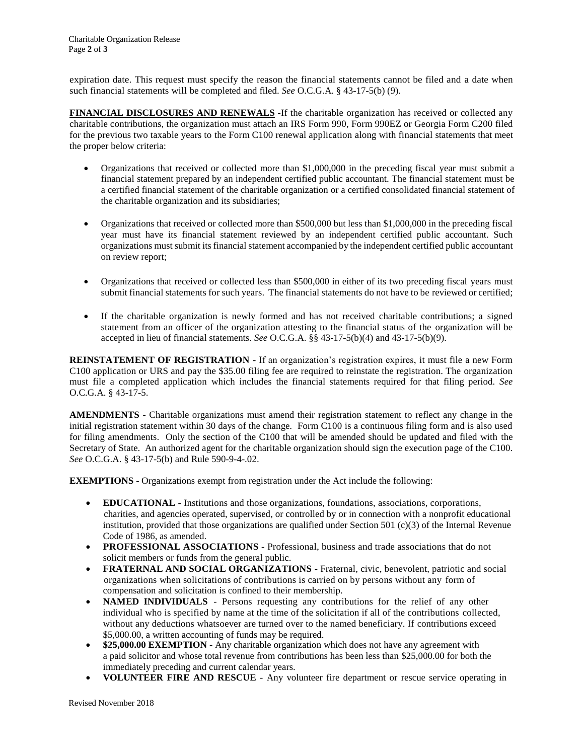expiration date. This request must specify the reason the financial statements cannot be filed and a date when such financial statements will be completed and filed. *See* O.C.G.A. § 43-17-5(b) (9).

**FINANCIAL DISCLOSURES AND RENEWALS** -If the charitable organization has received or collected any charitable contributions, the organization must attach an IRS Form 990, Form 990EZ or Georgia Form C200 filed for the previous two taxable years to the Form C100 renewal application along with financial statements that meet the proper below criteria:

- Organizations that received or collected more than \$1,000,000 in the preceding fiscal year must submit a financial statement prepared by an independent certified public accountant. The financial statement must be a certified financial statement of the charitable organization or a certified consolidated financial statement of the charitable organization and its subsidiaries;
- Organizations that received or collected more than \$500,000 but less than \$1,000,000 in the preceding fiscal year must have its financial statement reviewed by an independent certified public accountant. Such organizations must submit its financial statement accompanied by the independent certified public accountant on review report;
- Organizations that received or collected less than \$500,000 in either of its two preceding fiscal years must submit financial statements for such years. The financial statements do not have to be reviewed or certified;
- If the charitable organization is newly formed and has not received charitable contributions; a signed statement from an officer of the organization attesting to the financial status of the organization will be accepted in lieu of financial statements. *See* O.C.G.A. §§ 43-17-5(b)(4) and 43-17-5(b)(9).

**REINSTATEMENT OF REGISTRATION** - If an organization's registration expires, it must file a new Form C100 application or URS and pay the \$35.00 filing fee are required to reinstate the registration. The organization must file a completed application which includes the financial statements required for that filing period. *See* O.C.G.A. § 43-17-5.

**AMENDMENTS** - Charitable organizations must amend their registration statement to reflect any change in the initial registration statement within 30 days of the change. Form C100 is a continuous filing form and is also used for filing amendments. Only the section of the C100 that will be amended should be updated and filed with the Secretary of State. An authorized agent for the charitable organization should sign the execution page of the C100. *See* O.C.G.A. § 43-17-5(b) and Rule 590-9-4-.02.

**EXEMPTIONS** - Organizations exempt from registration under the Act include the following:

- **EDUCATIONAL** Institutions and those organizations, foundations, associations, corporations, charities, and agencies operated, supervised, or controlled by or in connection with a nonprofit educational institution, provided that those organizations are qualified under Section 501 (c)(3) of the Internal Revenue Code of 1986, as amended.
- **PROFESSIONAL ASSOCIATIONS** Professional, business and trade associations that do not solicit members or funds from the general public.
- **FRATERNAL AND SOCIAL ORGANIZATIONS** Fraternal, civic, benevolent, patriotic and social organizations when solicitations of contributions is carried on by persons without any form of compensation and solicitation is confined to their membership.
- **NAMED INDIVIDUALS** Persons requesting any contributions for the relief of any other individual who is specified by name at the time of the solicitation if all of the contributions collected, without any deductions whatsoever are turned over to the named beneficiary. If contributions exceed \$5,000.00, a written accounting of funds may be required.
- **\$25,000.00 EXEMPTION** Any charitable organization which does not have any agreement with a paid solicitor and whose total revenue from contributions has been less than \$25,000.00 for both the immediately preceding and current calendar years.
- **VOLUNTEER FIRE AND RESCUE** Any volunteer fire department or rescue service operating in